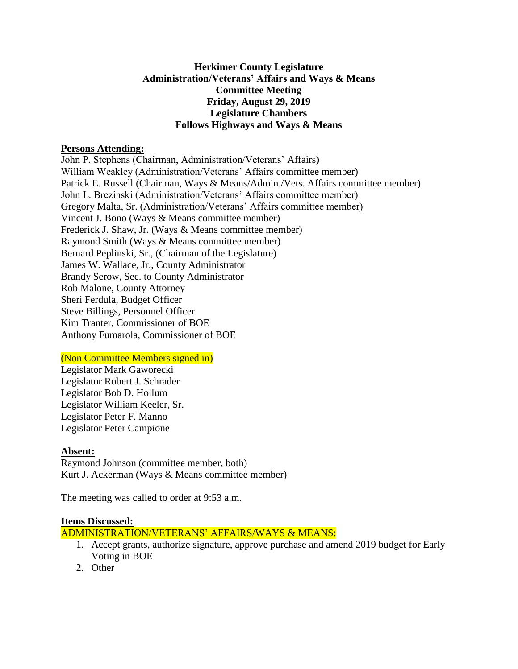## **Herkimer County Legislature Administration/Veterans' Affairs and Ways & Means Committee Meeting Friday, August 29, 2019 Legislature Chambers Follows Highways and Ways & Means**

### **Persons Attending:**

John P. Stephens (Chairman, Administration/Veterans' Affairs) William Weakley (Administration/Veterans' Affairs committee member) Patrick E. Russell (Chairman, Ways & Means/Admin./Vets. Affairs committee member) John L. Brezinski (Administration/Veterans' Affairs committee member) Gregory Malta, Sr. (Administration/Veterans' Affairs committee member) Vincent J. Bono (Ways & Means committee member) Frederick J. Shaw, Jr. (Ways & Means committee member) Raymond Smith (Ways & Means committee member) Bernard Peplinski, Sr., (Chairman of the Legislature) James W. Wallace, Jr., County Administrator Brandy Serow, Sec. to County Administrator Rob Malone, County Attorney Sheri Ferdula, Budget Officer Steve Billings, Personnel Officer Kim Tranter, Commissioner of BOE Anthony Fumarola, Commissioner of BOE

## (Non Committee Members signed in)

Legislator Mark Gaworecki Legislator Robert J. Schrader Legislator Bob D. Hollum Legislator William Keeler, Sr. Legislator Peter F. Manno Legislator Peter Campione

#### **Absent:**

Raymond Johnson (committee member, both) Kurt J. Ackerman (Ways & Means committee member)

The meeting was called to order at 9:53 a.m.

#### **Items Discussed:**

ADMINISTRATION/VETERANS' AFFAIRS/WAYS & MEANS:

- 1. Accept grants, authorize signature, approve purchase and amend 2019 budget for Early Voting in BOE
- 2. Other